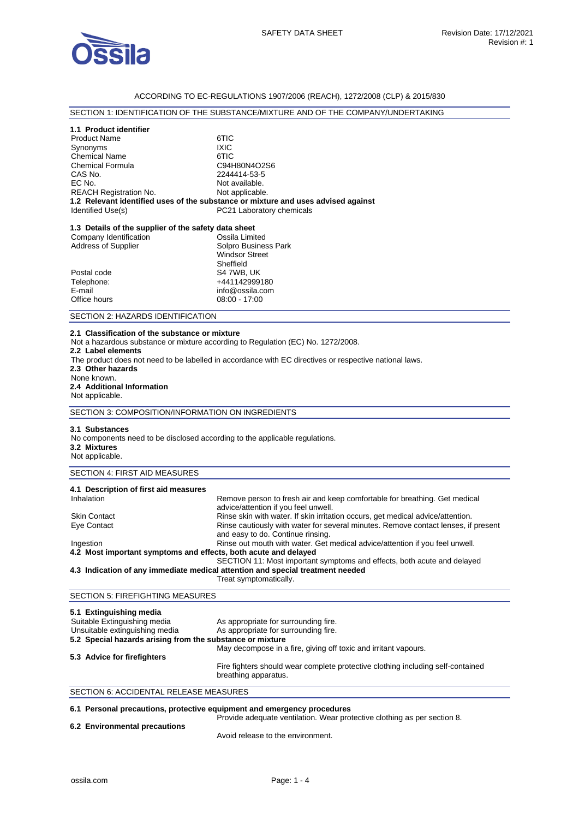

## ACCORDING TO EC-REGULATIONS 1907/2006 (REACH), 1272/2008 (CLP) & 2015/830

## SECTION 1: IDENTIFICATION OF THE SUBSTANCE/MIXTURE AND OF THE COMPANY/UNDERTAKING

| 1.1 Product identifier        |                                                                                   |
|-------------------------------|-----------------------------------------------------------------------------------|
| <b>Product Name</b>           | 6TIC                                                                              |
| Synonyms                      | <b>IXIC</b>                                                                       |
| <b>Chemical Name</b>          | 6TIC                                                                              |
| <b>Chemical Formula</b>       | C94H80N4O2S6                                                                      |
| CAS No.                       | 2244414-53-5                                                                      |
| EC No.                        | Not available.                                                                    |
| <b>REACH Registration No.</b> | Not applicable.                                                                   |
|                               | 1.2 Relevant identified uses of the substance or mixture and uses advised against |
| Identified Use(s)             | PC21 Laboratory chemicals                                                         |

## **1.3 Details of the supplier of the safety data sheet**

| Company Identification     | Ossila Limited        |
|----------------------------|-----------------------|
| <b>Address of Supplier</b> | Solpro Business Park  |
|                            | <b>Windsor Street</b> |
|                            | Sheffield             |
| Postal code                | S4 7WB, UK            |
| Telephone:                 | +441142999180         |
| E-mail                     | info@ossila.com       |
| Office hours               | $08:00 - 17:00$       |
|                            |                       |

#### SECTION 2: HAZARDS IDENTIFICATION

#### **2.1 Classification of the substance or mixture**

Not a hazardous substance or mixture according to Regulation (EC) No. 1272/2008.

- **2.2 Label elements**
- The product does not need to be labelled in accordance with EC directives or respective national laws.

**2.3 Other hazards** 

#### None known. **2.4 Additional Information**

Not applicable.

SECTION 3: COMPOSITION/INFORMATION ON INGREDIENTS

#### **3.1 Substances**

No components need to be disclosed according to the applicable regulations. **3.2 Mixtures** 

#### Not applicable.

## SECTION 4: FIRST AID MEASURES

| 4.1 Description of first aid measures                           |                                                                                                                         |
|-----------------------------------------------------------------|-------------------------------------------------------------------------------------------------------------------------|
| Inhalation                                                      | Remove person to fresh air and keep comfortable for breathing. Get medical<br>advice/attention if you feel unwell.      |
| <b>Skin Contact</b>                                             | Rinse skin with water. If skin irritation occurs, get medical advice/attention.                                         |
| Eye Contact                                                     | Rinse cautiously with water for several minutes. Remove contact lenses, if present<br>and easy to do. Continue rinsing. |
| Ingestion                                                       | Rinse out mouth with water. Get medical advice/attention if you feel unwell.                                            |
| 4.2 Most important symptoms and effects, both acute and delayed |                                                                                                                         |
|                                                                 | SECTION 11: Most important symptoms and effects, both acute and delayed                                                 |
|                                                                 | 4.3 Indication of any immediate medical attention and special treatment needed                                          |
|                                                                 | Treat symptomatically.                                                                                                  |

# SECTION 5: FIREFIGHTING MEASURES

| As appropriate for surrounding fire.                                                                    |  |
|---------------------------------------------------------------------------------------------------------|--|
| As appropriate for surrounding fire.                                                                    |  |
| 5.2 Special hazards arising from the substance or mixture                                               |  |
| May decompose in a fire, giving off toxic and irritant vapours.                                         |  |
|                                                                                                         |  |
| Fire fighters should wear complete protective clothing including self-contained<br>breathing apparatus. |  |
|                                                                                                         |  |

#### SECTION 6: ACCIDENTAL RELEASE MEASURES

#### **6.1 Personal precautions, protective equipment and emergency procedures**  Provide adequate ventilation. Wear protective clothing as per section 8.

**6.2 Environmental precautions** 

Avoid release to the environment.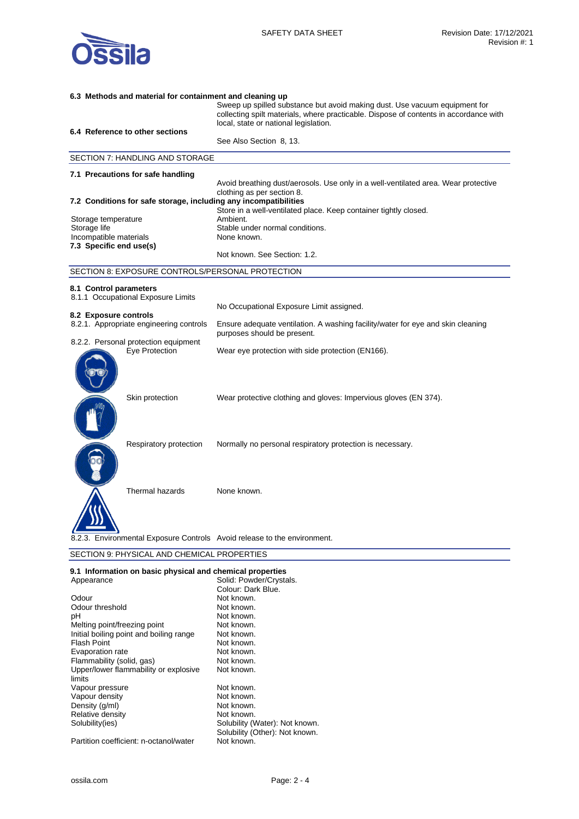

# **6.3 Methods and material for containment and cleaning up**  Sweep up spilled substance but avoid making dust. Use vacuum equipment for collecting spilt materials, where practicable. Dispose of contents in accordance with local, state or national legislation. **6.4 Reference to other sections**  See Also Section 8, 13. SECTION 7: HANDLING AND STORAGE **7.1 Precautions for safe handling**  Avoid breathing dust/aerosols. Use only in a well-ventilated area. Wear protective clothing as per section 8. **7.2 Conditions for safe storage, including any incompatibilities**  Store in a well-ventilated place. Keep container tightly closed. Storage temperature Storage life Storage life Stable under normal conditions. Incompatible materials None known. **7.3 Specific end use(s)**  Not known. See Section: 1.2. SECTION 8: EXPOSURE CONTROLS/PERSONAL PROTECTION **8.1 Control parameters**  8.1.1 Occupational Exposure Limits No Occupational Exposure Limit assigned. **8.2 Exposure controls**  Ensure adequate ventilation. A washing facility/water for eye and skin cleaning purposes should be present. 8.2.2. Personal protection equipment Eye Protection Wear eye protection with side protection (EN166). Skin protection Wear protective clothing and gloves: Impervious gloves (EN 374). Respiratory protection Normally no personal respiratory protection is necessary. Thermal hazards None known. Environmental Exposure Controls Avoid release to the environment. SECTION 9: PHYSICAL AND CHEMICAL PROPERTIES

| 9.1 Information on basic physical and chemical properties |                                |  |
|-----------------------------------------------------------|--------------------------------|--|
| Appearance                                                | Solid: Powder/Crystals.        |  |
|                                                           | Colour: Dark Blue.             |  |
| Odour                                                     | Not known.                     |  |
| Odour threshold                                           | Not known.                     |  |
| рH                                                        | Not known.                     |  |
| Melting point/freezing point                              | Not known.                     |  |
| Initial boiling point and boiling range                   | Not known.                     |  |
| Flash Point                                               | Not known.                     |  |
| Evaporation rate                                          | Not known.                     |  |
| Flammability (solid, gas)                                 | Not known.                     |  |
| Upper/lower flammability or explosive                     | Not known.                     |  |
| limits                                                    |                                |  |
| Vapour pressure                                           | Not known.                     |  |
| Vapour density                                            | Not known.                     |  |
| Density (g/ml)                                            | Not known.                     |  |
| Relative density                                          | Not known.                     |  |
| Solubility(ies)                                           | Solubility (Water): Not known. |  |
|                                                           | Solubility (Other): Not known. |  |
| Partition coefficient: n-octanol/water                    | Not known.                     |  |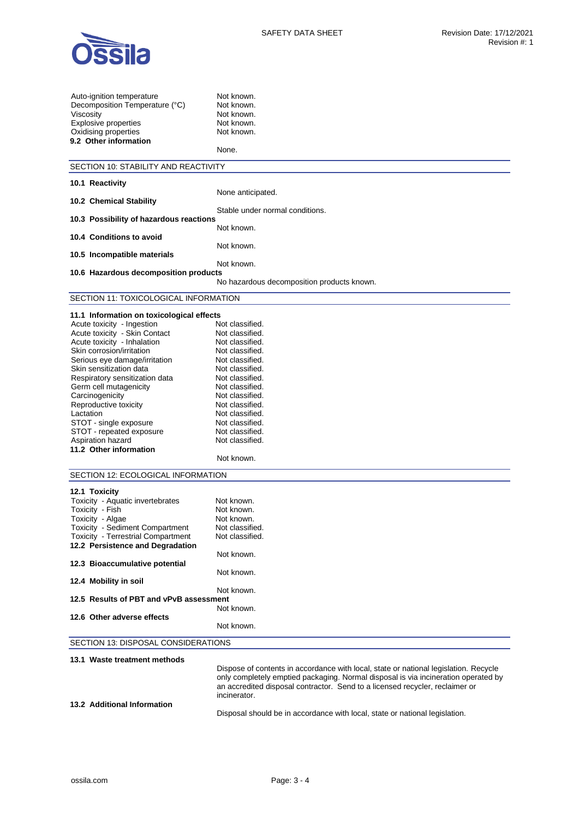

| Auto-ignition temperature<br>Decomposition Temperature (°C)<br>Viscosity<br><b>Explosive properties</b><br>Oxidising properties<br>9.2 Other information | Not known.<br>Not known.<br>Not known.<br>Not known.<br>Not known.<br>None.                                                                                                                                                                                |
|----------------------------------------------------------------------------------------------------------------------------------------------------------|------------------------------------------------------------------------------------------------------------------------------------------------------------------------------------------------------------------------------------------------------------|
| SECTION 10: STABILITY AND REACTIVITY                                                                                                                     |                                                                                                                                                                                                                                                            |
| 10.1 Reactivity                                                                                                                                          |                                                                                                                                                                                                                                                            |
|                                                                                                                                                          | None anticipated.                                                                                                                                                                                                                                          |
| 10.2 Chemical Stability                                                                                                                                  |                                                                                                                                                                                                                                                            |
| 10.3 Possibility of hazardous reactions                                                                                                                  | Stable under normal conditions.                                                                                                                                                                                                                            |
|                                                                                                                                                          | Not known.                                                                                                                                                                                                                                                 |
| 10.4 Conditions to avoid                                                                                                                                 |                                                                                                                                                                                                                                                            |
|                                                                                                                                                          | Not known.                                                                                                                                                                                                                                                 |
| 10.5 Incompatible materials                                                                                                                              | Not known.                                                                                                                                                                                                                                                 |
| 10.6 Hazardous decomposition products                                                                                                                    |                                                                                                                                                                                                                                                            |
|                                                                                                                                                          | No hazardous decomposition products known.                                                                                                                                                                                                                 |
| SECTION 11: TOXICOLOGICAL INFORMATION                                                                                                                    |                                                                                                                                                                                                                                                            |
|                                                                                                                                                          |                                                                                                                                                                                                                                                            |
| 11.1 Information on toxicological effects<br>Acute toxicity - Ingestion                                                                                  | Not classified.                                                                                                                                                                                                                                            |
| Acute toxicity - Skin Contact                                                                                                                            | Not classified.                                                                                                                                                                                                                                            |
| Acute toxicity - Inhalation                                                                                                                              | Not classified.                                                                                                                                                                                                                                            |
| Skin corrosion/irritation                                                                                                                                | Not classified.                                                                                                                                                                                                                                            |
| Serious eye damage/irritation                                                                                                                            | Not classified.                                                                                                                                                                                                                                            |
| Skin sensitization data                                                                                                                                  | Not classified.                                                                                                                                                                                                                                            |
| Respiratory sensitization data                                                                                                                           | Not classified.                                                                                                                                                                                                                                            |
| Germ cell mutagenicity                                                                                                                                   | Not classified.                                                                                                                                                                                                                                            |
| Carcinogenicity                                                                                                                                          | Not classified.                                                                                                                                                                                                                                            |
| Reproductive toxicity                                                                                                                                    | Not classified.                                                                                                                                                                                                                                            |
| Lactation                                                                                                                                                | Not classified.                                                                                                                                                                                                                                            |
| STOT - single exposure                                                                                                                                   | Not classified.                                                                                                                                                                                                                                            |
| STOT - repeated exposure                                                                                                                                 | Not classified.                                                                                                                                                                                                                                            |
| Aspiration hazard<br>11.2 Other information                                                                                                              | Not classified.                                                                                                                                                                                                                                            |
|                                                                                                                                                          | Not known.                                                                                                                                                                                                                                                 |
|                                                                                                                                                          |                                                                                                                                                                                                                                                            |
| SECTION 12: ECOLOGICAL INFORMATION                                                                                                                       |                                                                                                                                                                                                                                                            |
| 12.1 Toxicity                                                                                                                                            |                                                                                                                                                                                                                                                            |
| Toxicity - Aquatic invertebrates                                                                                                                         | Not known.                                                                                                                                                                                                                                                 |
| Toxicity - Fish                                                                                                                                          | Not known.                                                                                                                                                                                                                                                 |
| Toxicity - Algae                                                                                                                                         | Not known.                                                                                                                                                                                                                                                 |
| Toxicity - Sediment Compartment                                                                                                                          | Not classified.                                                                                                                                                                                                                                            |
| Toxicity - Terrestrial Compartment                                                                                                                       | Not classified.                                                                                                                                                                                                                                            |
| 12.2 Persistence and Degradation                                                                                                                         |                                                                                                                                                                                                                                                            |
| 12.3 Bioaccumulative potential                                                                                                                           | Not known.                                                                                                                                                                                                                                                 |
|                                                                                                                                                          | Not known.                                                                                                                                                                                                                                                 |
| 12.4 Mobility in soil                                                                                                                                    |                                                                                                                                                                                                                                                            |
|                                                                                                                                                          | Not known.                                                                                                                                                                                                                                                 |
| 12.5 Results of PBT and vPvB assessment                                                                                                                  |                                                                                                                                                                                                                                                            |
|                                                                                                                                                          | Not known.                                                                                                                                                                                                                                                 |
| 12.6 Other adverse effects                                                                                                                               | Not known.                                                                                                                                                                                                                                                 |
|                                                                                                                                                          |                                                                                                                                                                                                                                                            |
| SECTION 13: DISPOSAL CONSIDERATIONS                                                                                                                      |                                                                                                                                                                                                                                                            |
| 13.1 Waste treatment methods                                                                                                                             |                                                                                                                                                                                                                                                            |
|                                                                                                                                                          | Dispose of contents in accordance with local, state or national legislation. Recycle<br>only completely emptied packaging. Normal disposal is via incineration operated by<br>an accredited disposal contractor. Send to a licensed recycler, reclaimer or |

**13.2 Additional Information** 

Disposal should be in accordance with local, state or national legislation.

incinerator.